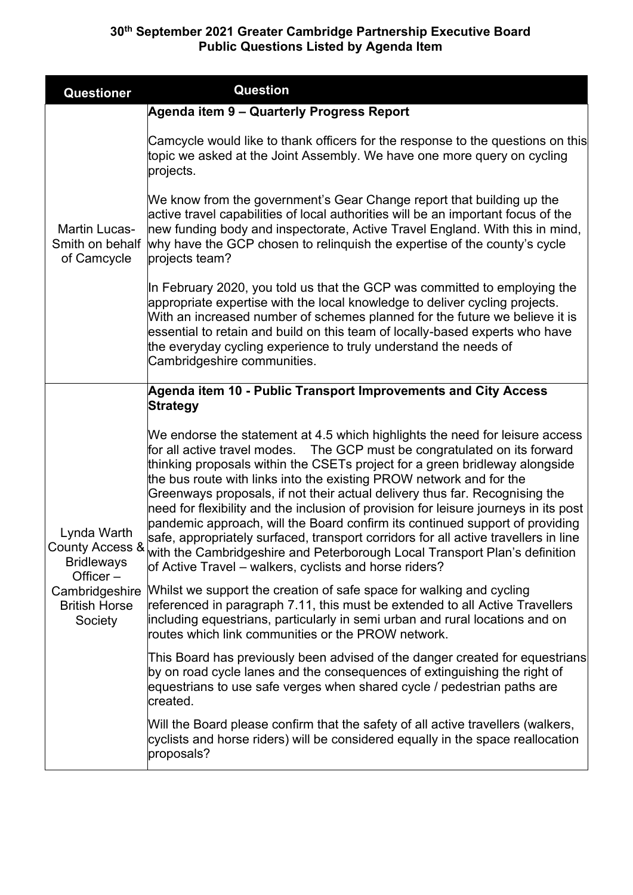| Questioner                                                                                                              | <b>Question</b>                                                                                                                                                                                                                                                                                                                                                                                                                                                                                                                                                                                                                                                                                                                                                                                       |
|-------------------------------------------------------------------------------------------------------------------------|-------------------------------------------------------------------------------------------------------------------------------------------------------------------------------------------------------------------------------------------------------------------------------------------------------------------------------------------------------------------------------------------------------------------------------------------------------------------------------------------------------------------------------------------------------------------------------------------------------------------------------------------------------------------------------------------------------------------------------------------------------------------------------------------------------|
|                                                                                                                         | Agenda item 9 – Quarterly Progress Report                                                                                                                                                                                                                                                                                                                                                                                                                                                                                                                                                                                                                                                                                                                                                             |
| <b>Martin Lucas-</b><br>Smith on behalf<br>of Camcycle                                                                  | Camcycle would like to thank officers for the response to the questions on this<br>topic we asked at the Joint Assembly. We have one more query on cycling<br>projects.                                                                                                                                                                                                                                                                                                                                                                                                                                                                                                                                                                                                                               |
|                                                                                                                         | We know from the government's Gear Change report that building up the<br>active travel capabilities of local authorities will be an important focus of the<br>new funding body and inspectorate, Active Travel England. With this in mind,<br>why have the GCP chosen to relinguish the expertise of the county's cycle<br>projects team?                                                                                                                                                                                                                                                                                                                                                                                                                                                             |
|                                                                                                                         | In February 2020, you told us that the GCP was committed to employing the<br>appropriate expertise with the local knowledge to deliver cycling projects.<br>With an increased number of schemes planned for the future we believe it is<br>essential to retain and build on this team of locally-based experts who have<br>the everyday cycling experience to truly understand the needs of<br>Cambridgeshire communities.                                                                                                                                                                                                                                                                                                                                                                            |
|                                                                                                                         | Agenda item 10 - Public Transport Improvements and City Access<br><b>Strategy</b>                                                                                                                                                                                                                                                                                                                                                                                                                                                                                                                                                                                                                                                                                                                     |
| Lynda Warth<br>County Access &<br><b>Bridleways</b><br>Officer $-$<br>Cambridgeshire<br><b>British Horse</b><br>Society | We endorse the statement at 4.5 which highlights the need for leisure access<br>for all active travel modes. The GCP must be congratulated on its forward<br>thinking proposals within the CSETs project for a green bridleway alongside<br>the bus route with links into the existing PROW network and for the<br>Greenways proposals, if not their actual delivery thus far. Recognising the<br>need for flexibility and the inclusion of provision for leisure journeys in its post<br>pandemic approach, will the Board confirm its continued support of providing<br>safe, appropriately surfaced, transport corridors for all active travellers in line<br>with the Cambridgeshire and Peterborough Local Transport Plan's definition<br>of Active Travel – walkers, cyclists and horse riders? |
|                                                                                                                         | Whilst we support the creation of safe space for walking and cycling<br>referenced in paragraph 7.11, this must be extended to all Active Travellers<br>including equestrians, particularly in semi urban and rural locations and on<br>routes which link communities or the PROW network.                                                                                                                                                                                                                                                                                                                                                                                                                                                                                                            |
|                                                                                                                         | This Board has previously been advised of the danger created for equestrians<br>by on road cycle lanes and the consequences of extinguishing the right of<br>equestrians to use safe verges when shared cycle / pedestrian paths are<br>created.                                                                                                                                                                                                                                                                                                                                                                                                                                                                                                                                                      |
|                                                                                                                         | Will the Board please confirm that the safety of all active travellers (walkers,<br>cyclists and horse riders) will be considered equally in the space reallocation<br>proposals?                                                                                                                                                                                                                                                                                                                                                                                                                                                                                                                                                                                                                     |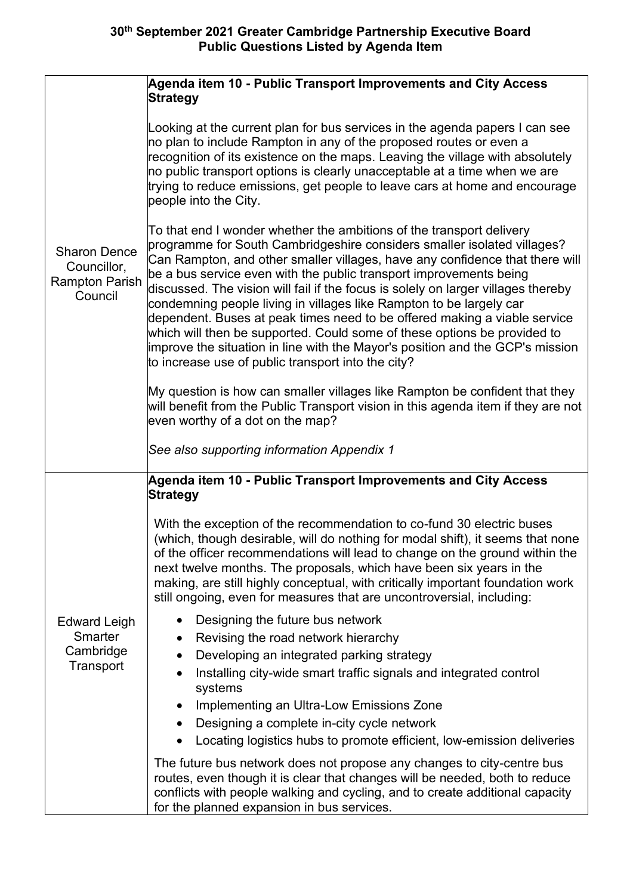|                                                                        | Agenda item 10 - Public Transport Improvements and City Access<br><b>Strategy</b>                                                                                                                                                                                                                                                                                                                                                                                                                                                                                                                                                                                                                                                                                 |
|------------------------------------------------------------------------|-------------------------------------------------------------------------------------------------------------------------------------------------------------------------------------------------------------------------------------------------------------------------------------------------------------------------------------------------------------------------------------------------------------------------------------------------------------------------------------------------------------------------------------------------------------------------------------------------------------------------------------------------------------------------------------------------------------------------------------------------------------------|
| <b>Sharon Dence</b><br>Councillor,<br><b>Rampton Parish</b><br>Council | Looking at the current plan for bus services in the agenda papers I can see<br>no plan to include Rampton in any of the proposed routes or even a<br>$\sf{recognition}$ of its existence on the maps. Leaving the village with absolutely<br>no public transport options is clearly unacceptable at a time when we are<br>trying to reduce emissions, get people to leave cars at home and encourage<br>people into the City.                                                                                                                                                                                                                                                                                                                                     |
|                                                                        | To that end I wonder whether the ambitions of the transport delivery<br>programme for South Cambridgeshire considers smaller isolated villages?<br>Can Rampton, and other smaller villages, have any confidence that there will<br>be a bus service even with the public transport improvements being<br>discussed. The vision will fail if the focus is solely on larger villages thereby<br>condemning people living in villages like Rampton to be largely car<br>dependent. Buses at peak times need to be offered making a viable service<br>which will then be supported. Could some of these options be provided to<br>improve the situation in line with the Mayor's position and the GCP's mission<br>to increase use of public transport into the city? |
|                                                                        | My question is how can smaller villages like Rampton be confident that they<br>will benefit from the Public Transport vision in this agenda item if they are not<br>even worthy of a dot on the map?                                                                                                                                                                                                                                                                                                                                                                                                                                                                                                                                                              |
|                                                                        | See also supporting information Appendix 1                                                                                                                                                                                                                                                                                                                                                                                                                                                                                                                                                                                                                                                                                                                        |
|                                                                        | Agenda item 10 - Public Transport Improvements and City Access<br><b>Strategy</b>                                                                                                                                                                                                                                                                                                                                                                                                                                                                                                                                                                                                                                                                                 |
|                                                                        | With the exception of the recommendation to co-fund 30 electric buses<br>(which, though desirable, will do nothing for modal shift), it seems that none<br>of the officer recommendations will lead to change on the ground within the<br>next twelve months. The proposals, which have been six years in the<br>making, are still highly conceptual, with critically important foundation work<br>still ongoing, even for measures that are uncontroversial, including:                                                                                                                                                                                                                                                                                          |
| <b>Edward Leigh</b>                                                    | Designing the future bus network<br>$\bullet$                                                                                                                                                                                                                                                                                                                                                                                                                                                                                                                                                                                                                                                                                                                     |
| Smarter<br>Cambridge<br>Transport                                      | Revising the road network hierarchy                                                                                                                                                                                                                                                                                                                                                                                                                                                                                                                                                                                                                                                                                                                               |
|                                                                        | Developing an integrated parking strategy<br>Installing city-wide smart traffic signals and integrated control<br>$\bullet$                                                                                                                                                                                                                                                                                                                                                                                                                                                                                                                                                                                                                                       |
|                                                                        | systems                                                                                                                                                                                                                                                                                                                                                                                                                                                                                                                                                                                                                                                                                                                                                           |
|                                                                        | Implementing an Ultra-Low Emissions Zone<br>$\bullet$<br>Designing a complete in-city cycle network<br>$\bullet$                                                                                                                                                                                                                                                                                                                                                                                                                                                                                                                                                                                                                                                  |
|                                                                        | Locating logistics hubs to promote efficient, low-emission deliveries                                                                                                                                                                                                                                                                                                                                                                                                                                                                                                                                                                                                                                                                                             |
|                                                                        | The future bus network does not propose any changes to city-centre bus<br>routes, even though it is clear that changes will be needed, both to reduce<br>conflicts with people walking and cycling, and to create additional capacity<br>for the planned expansion in bus services.                                                                                                                                                                                                                                                                                                                                                                                                                                                                               |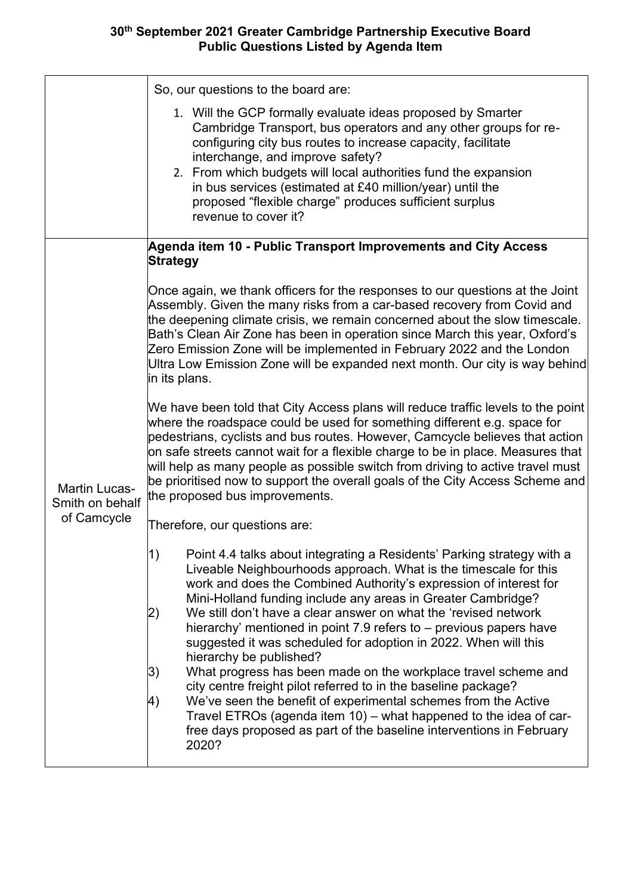|                                                        | So, our questions to the board are:<br>1. Will the GCP formally evaluate ideas proposed by Smarter<br>Cambridge Transport, bus operators and any other groups for re-<br>configuring city bus routes to increase capacity, facilitate<br>interchange, and improve safety?<br>2. From which budgets will local authorities fund the expansion<br>in bus services (estimated at £40 million/year) until the<br>proposed "flexible charge" produces sufficient surplus<br>revenue to cover it?                                                                                                                                                                                                                                                                                                                                                                                                                   |
|--------------------------------------------------------|---------------------------------------------------------------------------------------------------------------------------------------------------------------------------------------------------------------------------------------------------------------------------------------------------------------------------------------------------------------------------------------------------------------------------------------------------------------------------------------------------------------------------------------------------------------------------------------------------------------------------------------------------------------------------------------------------------------------------------------------------------------------------------------------------------------------------------------------------------------------------------------------------------------|
|                                                        | Agenda item 10 - Public Transport Improvements and City Access<br><b>Strategy</b>                                                                                                                                                                                                                                                                                                                                                                                                                                                                                                                                                                                                                                                                                                                                                                                                                             |
| <b>Martin Lucas-</b><br>Smith on behalf<br>of Camcycle | Once again, we thank officers for the responses to our questions at the Joint<br>Assembly. Given the many risks from a car-based recovery from Covid and<br>the deepening climate crisis, we remain concerned about the slow timescale.<br>Bath's Clean Air Zone has been in operation since March this year, Oxford's<br>Zero Emission Zone will be implemented in February 2022 and the London<br>Ultra Low Emission Zone will be expanded next month. Our city is way behind<br>in its plans.                                                                                                                                                                                                                                                                                                                                                                                                              |
|                                                        | We have been told that City Access plans will reduce traffic levels to the point<br>where the roadspace could be used for something different e.g. space for<br>pedestrians, cyclists and bus routes. However, Camcycle believes that action<br>on safe streets cannot wait for a flexible charge to be in place. Measures that<br>will help as many people as possible switch from driving to active travel must<br>be prioritised now to support the overall goals of the City Access Scheme and<br>the proposed bus improvements.                                                                                                                                                                                                                                                                                                                                                                          |
|                                                        | Therefore, our questions are:                                                                                                                                                                                                                                                                                                                                                                                                                                                                                                                                                                                                                                                                                                                                                                                                                                                                                 |
|                                                        | Point 4.4 talks about integrating a Residents' Parking strategy with a<br> 1)<br>Liveable Neighbourhoods approach. What is the timescale for this<br>work and does the Combined Authority's expression of interest for<br>Mini-Holland funding include any areas in Greater Cambridge?<br>We still don't have a clear answer on what the 'revised network<br> 2)<br>hierarchy' mentioned in point 7.9 refers to – previous papers have<br>suggested it was scheduled for adoption in 2022. When will this<br>hierarchy be published?<br> 3)<br>What progress has been made on the workplace travel scheme and<br>city centre freight pilot referred to in the baseline package?<br>We've seen the benefit of experimental schemes from the Active<br>4)<br>Travel ETROs (agenda item 10) - what happened to the idea of car-<br>free days proposed as part of the baseline interventions in February<br>2020? |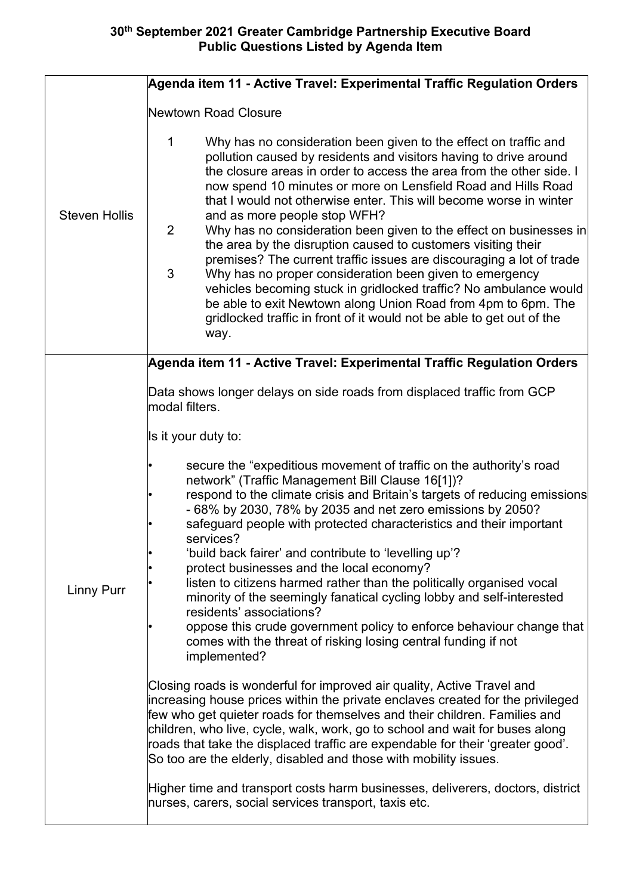|                      | Agenda item 11 - Active Travel: Experimental Traffic Regulation Orders                                                                                                                                                                                                                                                                                                                                                                                                                                                                                                                                                                                                                                                                                                                                                                                                                                                      |
|----------------------|-----------------------------------------------------------------------------------------------------------------------------------------------------------------------------------------------------------------------------------------------------------------------------------------------------------------------------------------------------------------------------------------------------------------------------------------------------------------------------------------------------------------------------------------------------------------------------------------------------------------------------------------------------------------------------------------------------------------------------------------------------------------------------------------------------------------------------------------------------------------------------------------------------------------------------|
|                      | Newtown Road Closure                                                                                                                                                                                                                                                                                                                                                                                                                                                                                                                                                                                                                                                                                                                                                                                                                                                                                                        |
| <b>Steven Hollis</b> | $\mathbf 1$<br>Why has no consideration been given to the effect on traffic and<br>pollution caused by residents and visitors having to drive around<br>the closure areas in order to access the area from the other side. I<br>now spend 10 minutes or more on Lensfield Road and Hills Road<br>that I would not otherwise enter. This will become worse in winter<br>and as more people stop WFH?<br>$\overline{2}$<br>Why has no consideration been given to the effect on businesses in<br>the area by the disruption caused to customers visiting their<br>premises? The current traffic issues are discouraging a lot of trade<br>3<br>Why has no proper consideration been given to emergency<br>vehicles becoming stuck in gridlocked traffic? No ambulance would<br>be able to exit Newtown along Union Road from 4pm to 6pm. The<br>gridlocked traffic in front of it would not be able to get out of the<br>way. |
|                      | Agenda item 11 - Active Travel: Experimental Traffic Regulation Orders                                                                                                                                                                                                                                                                                                                                                                                                                                                                                                                                                                                                                                                                                                                                                                                                                                                      |
| <b>Linny Purr</b>    | Data shows longer delays on side roads from displaced traffic from GCP<br>modal filters.<br>Is it your duty to:<br>secure the "expeditious movement of traffic on the authority's road<br>network" (Traffic Management Bill Clause 16[1])?<br>respond to the climate crisis and Britain's targets of reducing emissions<br>- 68% by 2030, 78% by 2035 and net zero emissions by 2050?<br>safeguard people with protected characteristics and their important<br>services?<br>'build back fairer' and contribute to 'levelling up'?<br>protect businesses and the local economy?<br>listen to citizens harmed rather than the politically organised vocal<br>minority of the seemingly fanatical cycling lobby and self-interested<br>residents' associations?<br>oppose this crude government policy to enforce behaviour change that<br>comes with the threat of risking losing central funding if not<br>implemented?     |
|                      | Closing roads is wonderful for improved air quality, Active Travel and<br>increasing house prices within the private enclaves created for the privileged<br>few who get quieter roads for themselves and their children. Families and<br>children, who live, cycle, walk, work, go to school and wait for buses along<br>roads that take the displaced traffic are expendable for their 'greater good'.<br>So too are the elderly, disabled and those with mobility issues.                                                                                                                                                                                                                                                                                                                                                                                                                                                 |
|                      | Higher time and transport costs harm businesses, deliverers, doctors, district<br>hurses, carers, social services transport, taxis etc.                                                                                                                                                                                                                                                                                                                                                                                                                                                                                                                                                                                                                                                                                                                                                                                     |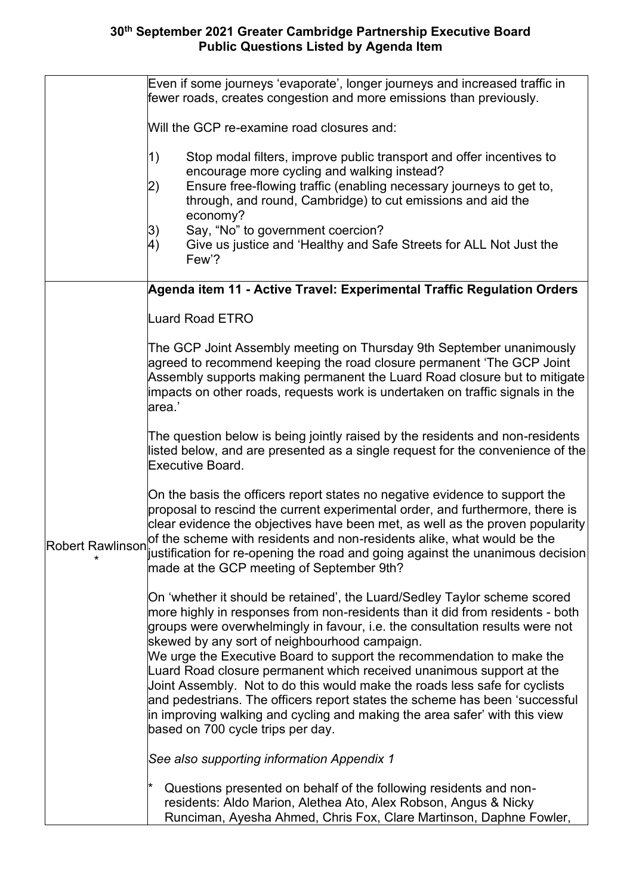|                         | Even if some journeys 'evaporate', longer journeys and increased traffic in<br>fewer roads, creates congestion and more emissions than previously.                                                                                                                                                                                                                                                                                                                                                                                                                                                                                                                                                                           |
|-------------------------|------------------------------------------------------------------------------------------------------------------------------------------------------------------------------------------------------------------------------------------------------------------------------------------------------------------------------------------------------------------------------------------------------------------------------------------------------------------------------------------------------------------------------------------------------------------------------------------------------------------------------------------------------------------------------------------------------------------------------|
|                         | Will the GCP re-examine road closures and:                                                                                                                                                                                                                                                                                                                                                                                                                                                                                                                                                                                                                                                                                   |
|                         | 1)<br>Stop modal filters, improve public transport and offer incentives to<br>encourage more cycling and walking instead?<br>Ensure free-flowing traffic (enabling necessary journeys to get to,<br>2)<br>through, and round, Cambridge) to cut emissions and aid the<br>economy?<br>Say, "No" to government coercion?<br>3)<br>Give us justice and 'Healthy and Safe Streets for ALL Not Just the<br>4)<br>Few'?                                                                                                                                                                                                                                                                                                            |
|                         | Agenda item 11 - Active Travel: Experimental Traffic Regulation Orders                                                                                                                                                                                                                                                                                                                                                                                                                                                                                                                                                                                                                                                       |
|                         | <b>Luard Road ETRO</b>                                                                                                                                                                                                                                                                                                                                                                                                                                                                                                                                                                                                                                                                                                       |
| <b>Robert Rawlinson</b> | The GCP Joint Assembly meeting on Thursday 9th September unanimously<br>agreed to recommend keeping the road closure permanent 'The GCP Joint<br>Assembly supports making permanent the Luard Road closure but to mitigate<br>impacts on other roads, requests work is undertaken on traffic signals in the<br>area.'                                                                                                                                                                                                                                                                                                                                                                                                        |
|                         | The question below is being jointly raised by the residents and non-residents<br>listed below, and are presented as a single request for the convenience of the<br>Executive Board.                                                                                                                                                                                                                                                                                                                                                                                                                                                                                                                                          |
|                         | On the basis the officers report states no negative evidence to support the<br>proposal to rescind the current experimental order, and furthermore, there is<br>clear evidence the objectives have been met, as well as the proven popularity<br>of the scheme with residents and non-residents alike, what would be the<br>$ $ ustification for re-opening the road and going against the unanimous decision<br>made at the GCP meeting of September 9th?                                                                                                                                                                                                                                                                   |
|                         | On 'whether it should be retained', the Luard/Sedley Taylor scheme scored<br>more highly in responses from non-residents than it did from residents - both<br>groups were overwhelmingly in favour, i.e. the consultation results were not<br>skewed by any sort of neighbourhood campaign.<br>We urge the Executive Board to support the recommendation to make the<br>Luard Road closure permanent which received unanimous support at the<br>Joint Assembly. Not to do this would make the roads less safe for cyclists<br>and pedestrians. The officers report states the scheme has been 'successful<br>in improving walking and cycling and making the area safer' with this view<br>based on 700 cycle trips per day. |
|                         | See also supporting information Appendix 1                                                                                                                                                                                                                                                                                                                                                                                                                                                                                                                                                                                                                                                                                   |
|                         | Questions presented on behalf of the following residents and non-<br>residents: Aldo Marion, Alethea Ato, Alex Robson, Angus & Nicky<br>Runciman, Ayesha Ahmed, Chris Fox, Clare Martinson, Daphne Fowler,                                                                                                                                                                                                                                                                                                                                                                                                                                                                                                                   |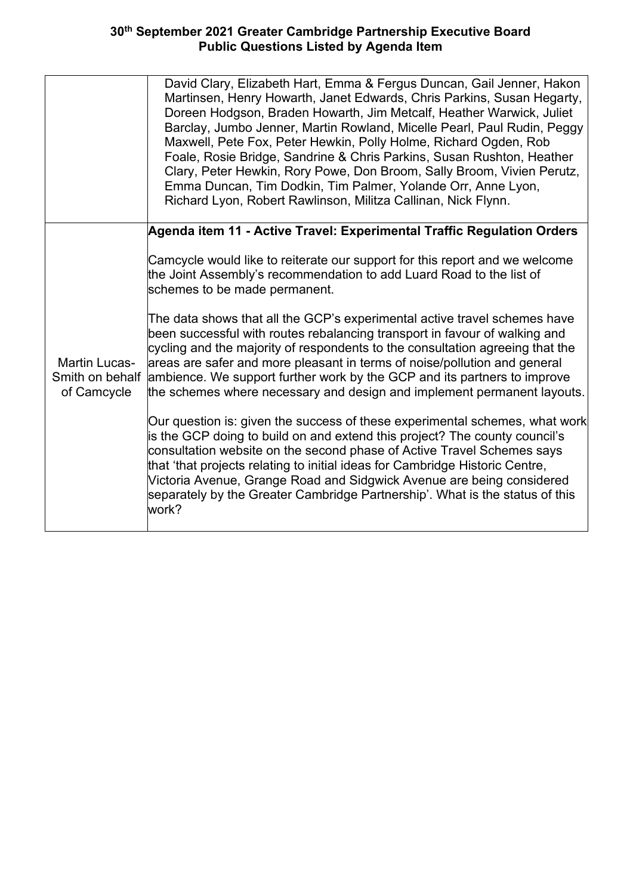|                                                        | David Clary, Elizabeth Hart, Emma & Fergus Duncan, Gail Jenner, Hakon<br>Martinsen, Henry Howarth, Janet Edwards, Chris Parkins, Susan Hegarty,<br>Doreen Hodgson, Braden Howarth, Jim Metcalf, Heather Warwick, Juliet<br>Barclay, Jumbo Jenner, Martin Rowland, Micelle Pearl, Paul Rudin, Peggy<br>Maxwell, Pete Fox, Peter Hewkin, Polly Holme, Richard Ogden, Rob<br>Foale, Rosie Bridge, Sandrine & Chris Parkins, Susan Rushton, Heather<br>Clary, Peter Hewkin, Rory Powe, Don Broom, Sally Broom, Vivien Perutz,<br>Emma Duncan, Tim Dodkin, Tim Palmer, Yolande Orr, Anne Lyon,<br>Richard Lyon, Robert Rawlinson, Militza Callinan, Nick Flynn. |
|--------------------------------------------------------|------------------------------------------------------------------------------------------------------------------------------------------------------------------------------------------------------------------------------------------------------------------------------------------------------------------------------------------------------------------------------------------------------------------------------------------------------------------------------------------------------------------------------------------------------------------------------------------------------------------------------------------------------------|
|                                                        | Agenda item 11 - Active Travel: Experimental Traffic Regulation Orders                                                                                                                                                                                                                                                                                                                                                                                                                                                                                                                                                                                     |
| <b>Martin Lucas-</b><br>Smith on behalf<br>of Camcycle | Camcycle would like to reiterate our support for this report and we welcome<br>the Joint Assembly's recommendation to add Luard Road to the list of<br>schemes to be made permanent.                                                                                                                                                                                                                                                                                                                                                                                                                                                                       |
|                                                        | The data shows that all the GCP's experimental active travel schemes have<br>been successful with routes rebalancing transport in favour of walking and<br>cycling and the majority of respondents to the consultation agreeing that the<br>areas are safer and more pleasant in terms of noise/pollution and general<br>ambience. We support further work by the GCP and its partners to improve<br>the schemes where necessary and design and implement permanent layouts.                                                                                                                                                                               |
|                                                        | Our question is: given the success of these experimental schemes, what work<br>is the GCP doing to build on and extend this project? The county council's<br>$\,$ consultation website on the second phase of Active Travel Schemes says<br>that 'that projects relating to initial ideas for Cambridge Historic Centre,<br>Victoria Avenue, Grange Road and Sidgwick Avenue are being considered<br>separately by the Greater Cambridge Partnership'. What is the status of this<br>work?                                                                                                                                                                 |